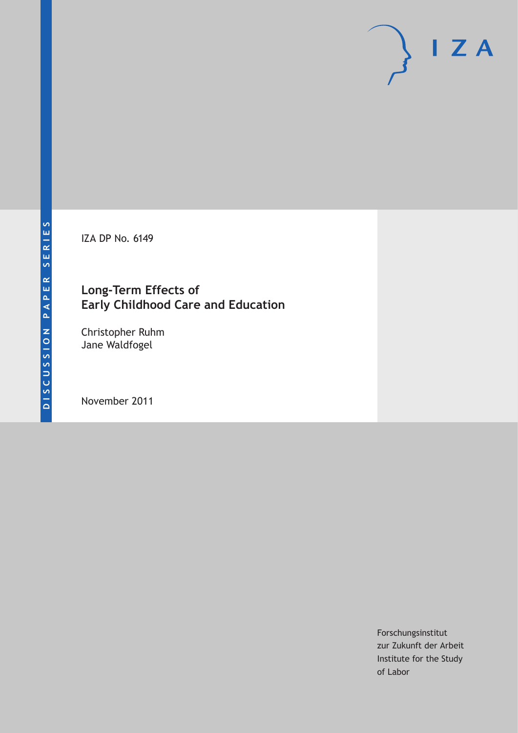IZA DP No. 6149

# **Long-Term Effects of Early Childhood Care and Education**

Christopher Ruhm Jane Waldfogel

November 2011

Forschungsinstitut zur Zukunft der Arbeit Institute for the Study of Labor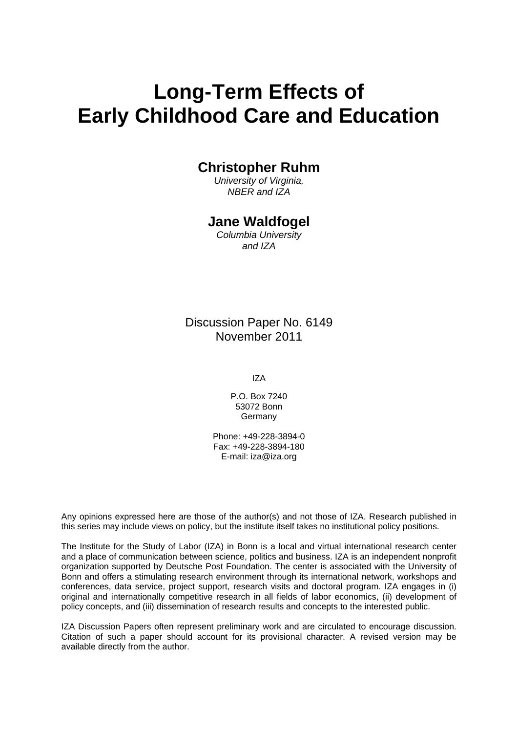# **Long-Term Effects of Early Childhood Care and Education**

# **Christopher Ruhm**

*University of Virginia, NBER and IZA* 

# **Jane Waldfogel**

*Columbia University and IZA* 

Discussion Paper No. 6149 November 2011

IZA

P.O. Box 7240 53072 Bonn Germany

Phone: +49-228-3894-0 Fax: +49-228-3894-180 E-mail: [iza@iza.org](mailto:iza@iza.org) 

Any opinions expressed here are those of the author(s) and not those of IZA. Research published in this series may include views on policy, but the institute itself takes no institutional policy positions.

The Institute for the Study of Labor (IZA) in Bonn is a local and virtual international research center and a place of communication between science, politics and business. IZA is an independent nonprofit organization supported by Deutsche Post Foundation. The center is associated with the University of Bonn and offers a stimulating research environment through its international network, workshops and conferences, data service, project support, research visits and doctoral program. IZA engages in (i) original and internationally competitive research in all fields of labor economics, (ii) development of policy concepts, and (iii) dissemination of research results and concepts to the interested public.

IZA Discussion Papers often represent preliminary work and are circulated to encourage discussion. Citation of such a paper should account for its provisional character. A revised version may be available directly from the author.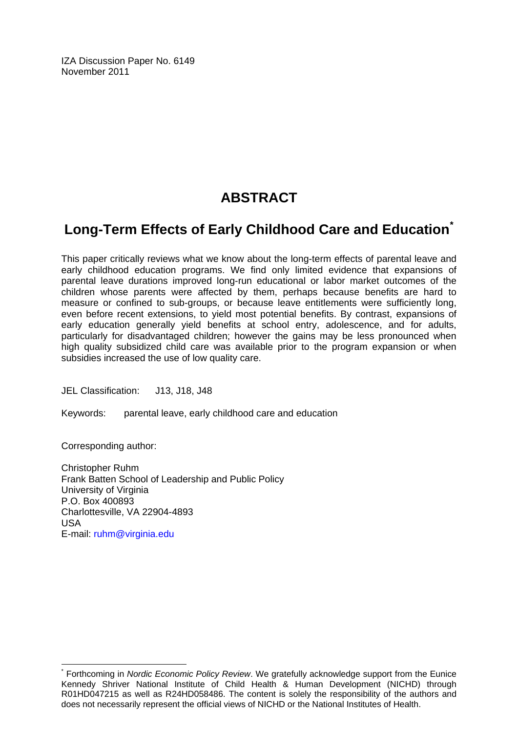IZA Discussion Paper No. 6149 November 2011

# **ABSTRACT**

# **Long-Term Effects of Early Childhood Care and Education[\\*](#page-2-0)**

This paper critically reviews what we know about the long-term effects of parental leave and early childhood education programs. We find only limited evidence that expansions of parental leave durations improved long-run educational or labor market outcomes of the children whose parents were affected by them, perhaps because benefits are hard to measure or confined to sub-groups, or because leave entitlements were sufficiently long, even before recent extensions, to yield most potential benefits. By contrast, expansions of early education generally yield benefits at school entry, adolescence, and for adults, particularly for disadvantaged children; however the gains may be less pronounced when high quality subsidized child care was available prior to the program expansion or when subsidies increased the use of low quality care.

JEL Classification: J13, J18, J48

Keywords: parental leave, early childhood care and education

Corresponding author:

 $\overline{a}$ 

Christopher Ruhm Frank Batten School of Leadership and Public Policy University of Virginia P.O. Box 400893 Charlottesville, VA 22904-4893 USA E-mail: [ruhm@virginia.edu](mailto:ruhm@virginia.edu)

<span id="page-2-0"></span><sup>\*</sup> Forthcoming in *Nordic Economic Policy Review*. We gratefully acknowledge support from the Eunice Kennedy Shriver National Institute of Child Health & Human Development (NICHD) through R01HD047215 as well as R24HD058486. The content is solely the responsibility of the authors and does not necessarily represent the official views of NICHD or the National Institutes of Health.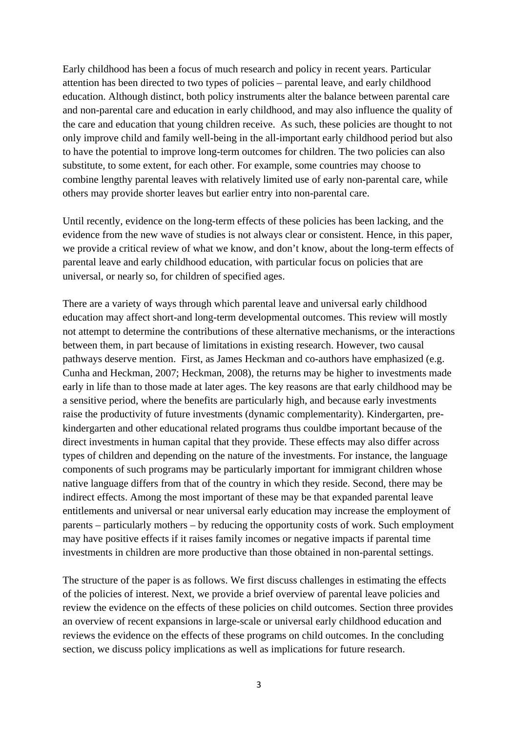Early childhood has been a focus of much research and policy in recent years. Particular attention has been directed to two types of policies – parental leave, and early childhood education. Although distinct, both policy instruments alter the balance between parental care and non-parental care and education in early childhood, and may also influence the quality of the care and education that young children receive. As such, these policies are thought to not only improve child and family well-being in the all-important early childhood period but also to have the potential to improve long-term outcomes for children. The two policies can also substitute, to some extent, for each other. For example, some countries may choose to combine lengthy parental leaves with relatively limited use of early non-parental care, while others may provide shorter leaves but earlier entry into non-parental care.

Until recently, evidence on the long-term effects of these policies has been lacking, and the evidence from the new wave of studies is not always clear or consistent. Hence, in this paper, we provide a critical review of what we know, and don't know, about the long-term effects of parental leave and early childhood education, with particular focus on policies that are universal, or nearly so, for children of specified ages.

There are a variety of ways through which parental leave and universal early childhood education may affect short-and long-term developmental outcomes. This review will mostly not attempt to determine the contributions of these alternative mechanisms, or the interactions between them, in part because of limitations in existing research. However, two causal pathways deserve mention. First, as James Heckman and co-authors have emphasized (e.g. Cunha and Heckman, 2007; Heckman, 2008), the returns may be higher to investments made early in life than to those made at later ages. The key reasons are that early childhood may be a sensitive period, where the benefits are particularly high, and because early investments raise the productivity of future investments (dynamic complementarity). Kindergarten, prekindergarten and other educational related programs thus couldbe important because of the direct investments in human capital that they provide. These effects may also differ across types of children and depending on the nature of the investments. For instance, the language components of such programs may be particularly important for immigrant children whose native language differs from that of the country in which they reside. Second, there may be indirect effects. Among the most important of these may be that expanded parental leave entitlements and universal or near universal early education may increase the employment of parents – particularly mothers – by reducing the opportunity costs of work. Such employment may have positive effects if it raises family incomes or negative impacts if parental time investments in children are more productive than those obtained in non-parental settings.

The structure of the paper is as follows. We first discuss challenges in estimating the effects of the policies of interest. Next, we provide a brief overview of parental leave policies and review the evidence on the effects of these policies on child outcomes. Section three provides an overview of recent expansions in large-scale or universal early childhood education and reviews the evidence on the effects of these programs on child outcomes. In the concluding section, we discuss policy implications as well as implications for future research.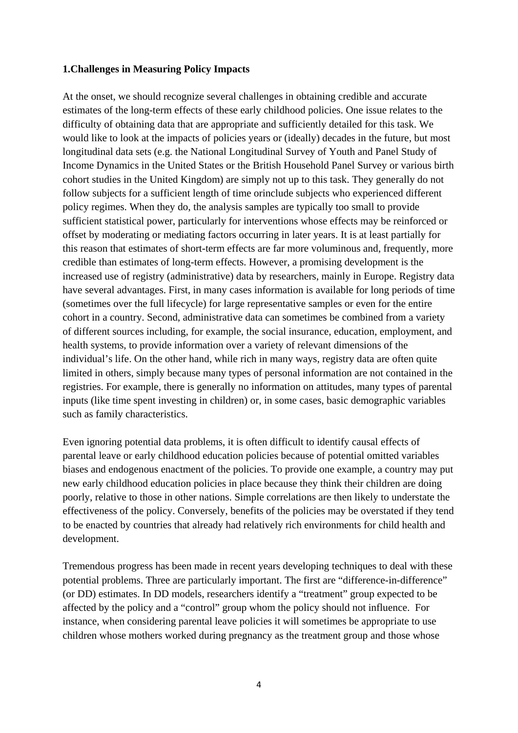#### **1.Challenges in Measuring Policy Impacts**

At the onset, we should recognize several challenges in obtaining credible and accurate estimates of the long-term effects of these early childhood policies. One issue relates to the difficulty of obtaining data that are appropriate and sufficiently detailed for this task. We would like to look at the impacts of policies years or (ideally) decades in the future, but most longitudinal data sets (e.g. the National Longitudinal Survey of Youth and Panel Study of Income Dynamics in the United States or the British Household Panel Survey or various birth cohort studies in the United Kingdom) are simply not up to this task. They generally do not follow subjects for a sufficient length of time orinclude subjects who experienced different policy regimes. When they do, the analysis samples are typically too small to provide sufficient statistical power, particularly for interventions whose effects may be reinforced or offset by moderating or mediating factors occurring in later years. It is at least partially for this reason that estimates of short-term effects are far more voluminous and, frequently, more credible than estimates of long-term effects. However, a promising development is the increased use of registry (administrative) data by researchers, mainly in Europe. Registry data have several advantages. First, in many cases information is available for long periods of time (sometimes over the full lifecycle) for large representative samples or even for the entire cohort in a country. Second, administrative data can sometimes be combined from a variety of different sources including, for example, the social insurance, education, employment, and health systems, to provide information over a variety of relevant dimensions of the individual's life. On the other hand, while rich in many ways, registry data are often quite limited in others, simply because many types of personal information are not contained in the registries. For example, there is generally no information on attitudes, many types of parental inputs (like time spent investing in children) or, in some cases, basic demographic variables such as family characteristics.

Even ignoring potential data problems, it is often difficult to identify causal effects of parental leave or early childhood education policies because of potential omitted variables biases and endogenous enactment of the policies. To provide one example, a country may put new early childhood education policies in place because they think their children are doing poorly, relative to those in other nations. Simple correlations are then likely to understate the effectiveness of the policy. Conversely, benefits of the policies may be overstated if they tend to be enacted by countries that already had relatively rich environments for child health and development.

Tremendous progress has been made in recent years developing techniques to deal with these potential problems. Three are particularly important. The first are "difference-in-difference" (or DD) estimates. In DD models, researchers identify a "treatment" group expected to be affected by the policy and a "control" group whom the policy should not influence. For instance, when considering parental leave policies it will sometimes be appropriate to use children whose mothers worked during pregnancy as the treatment group and those whose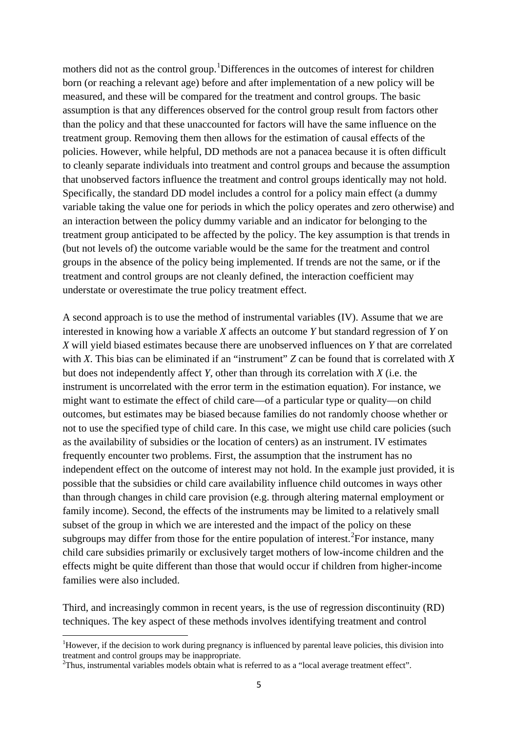mothers did not as the control group.<sup>[1](#page-5-0)</sup>Differences in the outcomes of interest for children born (or reaching a relevant age) before and after implementation of a new policy will be measured, and these will be compared for the treatment and control groups. The basic assumption is that any differences observed for the control group result from factors other than the policy and that these unaccounted for factors will have the same influence on the treatment group. Removing them then allows for the estimation of causal effects of the policies. However, while helpful, DD methods are not a panacea because it is often difficult to cleanly separate individuals into treatment and control groups and because the assumption that unobserved factors influence the treatment and control groups identically may not hold. Specifically, the standard DD model includes a control for a policy main effect (a dummy variable taking the value one for periods in which the policy operates and zero otherwise) and an interaction between the policy dummy variable and an indicator for belonging to the treatment group anticipated to be affected by the policy. The key assumption is that trends in (but not levels of) the outcome variable would be the same for the treatment and control groups in the absence of the policy being implemented. If trends are not the same, or if the treatment and control groups are not cleanly defined, the interaction coefficient may understate or overestimate the true policy treatment effect.

A second approach is to use the method of instrumental variables (IV). Assume that we are interested in knowing how a variable *X* affects an outcome *Y* but standard regression of *Y* on *X* will yield biased estimates because there are unobserved influences on *Y* that are correlated with *X*. This bias can be eliminated if an "instrument" *Z* can be found that is correlated with *X* but does not independently affect *Y*, other than through its correlation with *X* (i.e. the instrument is uncorrelated with the error term in the estimation equation). For instance, we might want to estimate the effect of child care—of a particular type or quality—on child outcomes, but estimates may be biased because families do not randomly choose whether or not to use the specified type of child care. In this case, we might use child care policies (such as the availability of subsidies or the location of centers) as an instrument. IV estimates frequently encounter two problems. First, the assumption that the instrument has no independent effect on the outcome of interest may not hold. In the example just provided, it is possible that the subsidies or child care availability influence child outcomes in ways other than through changes in child care provision (e.g. through altering maternal employment or family income). Second, the effects of the instruments may be limited to a relatively small subset of the group in which we are interested and the impact of the policy on these subgroups may differ from those for the entire population of interest.<sup>[2](#page-5-1)</sup>For instance, many child care subsidies primarily or exclusively target mothers of low-income children and the effects might be quite different than those that would occur if children from higher-income families were also included.

Third, and increasingly common in recent years, is the use of regression discontinuity (RD) techniques. The key aspect of these methods involves identifying treatment and control

<span id="page-5-0"></span><sup>&</sup>lt;sup>1</sup>However, if the decision to work during pregnancy is influenced by parental leave policies, this division into treatment and control groups may be inappropriate.

<span id="page-5-1"></span> $2$ Thus, instrumental variables models obtain what is referred to as a "local average treatment effect".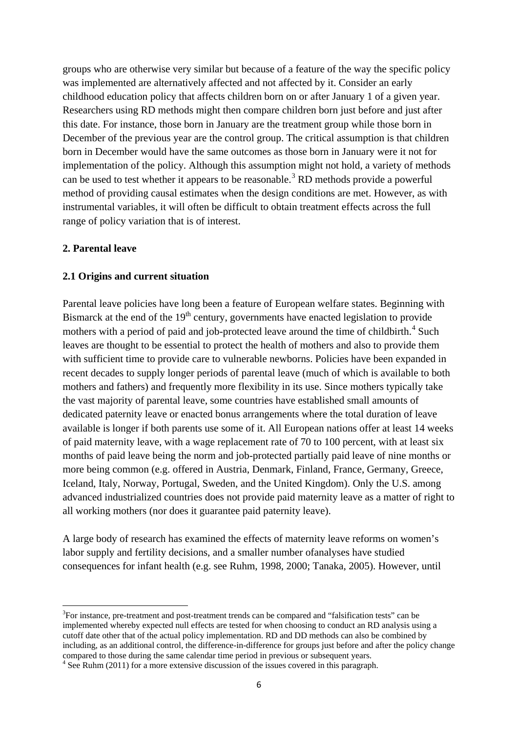groups who are otherwise very similar but because of a feature of the way the specific policy was implemented are alternatively affected and not affected by it. Consider an early childhood education policy that affects children born on or after January 1 of a given year. Researchers using RD methods might then compare children born just before and just after this date. For instance, those born in January are the treatment group while those born in December of the previous year are the control group. The critical assumption is that children born in December would have the same outcomes as those born in January were it not for implementation of the policy. Although this assumption might not hold, a variety of methods can be used to test whether it appears to be reasonable.<sup>[3](#page-6-0)</sup> RD methods provide a powerful method of providing causal estimates when the design conditions are met. However, as with instrumental variables, it will often be difficult to obtain treatment effects across the full range of policy variation that is of interest.

#### **2. Parental leave**

.<br>-

#### **2.1 Origins and current situation**

Parental leave policies have long been a feature of European welfare states. Beginning with Bismarck at the end of the  $19<sup>th</sup>$  century, governments have enacted legislation to provide mothers with a period of paid and job-protected leave around the time of childbirth.<sup>[4](#page-6-1)</sup> Such leaves are thought to be essential to protect the health of mothers and also to provide them with sufficient time to provide care to vulnerable newborns. Policies have been expanded in recent decades to supply longer periods of parental leave (much of which is available to both mothers and fathers) and frequently more flexibility in its use. Since mothers typically take the vast majority of parental leave, some countries have established small amounts of dedicated paternity leave or enacted bonus arrangements where the total duration of leave available is longer if both parents use some of it. All European nations offer at least 14 weeks of paid maternity leave, with a wage replacement rate of 70 to 100 percent, with at least six months of paid leave being the norm and job-protected partially paid leave of nine months or more being common (e.g. offered in Austria, Denmark, Finland, France, Germany, Greece, Iceland, Italy, Norway, Portugal, Sweden, and the United Kingdom). Only the U.S. among advanced industrialized countries does not provide paid maternity leave as a matter of right to all working mothers (nor does it guarantee paid paternity leave).

A large body of research has examined the effects of maternity leave reforms on women's labor supply and fertility decisions, and a smaller number ofanalyses have studied consequences for infant health (e.g. see Ruhm, 1998, 2000; Tanaka, 2005). However, until

<span id="page-6-0"></span><sup>&</sup>lt;sup>3</sup>For instance, pre-treatment and post-treatment trends can be compared and "falsification tests" can be implemented whereby expected null effects are tested for when choosing to conduct an RD analysis using a cutoff date other that of the actual policy implementation. RD and DD methods can also be combined by including, as an additional control, the difference-in-difference for groups just before and after the policy change compared to those during the same calendar time period in previous or subsequent years.

<span id="page-6-1"></span><sup>&</sup>lt;sup>4</sup> See Ruhm (2011) for a more extensive discussion of the issues covered in this paragraph.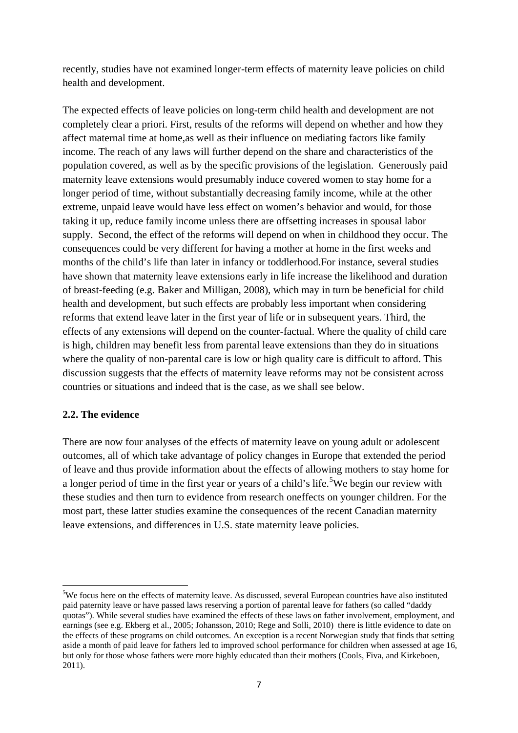recently, studies have not examined longer-term effects of maternity leave policies on child health and development.

The expected effects of leave policies on long-term child health and development are not completely clear a priori. First, results of the reforms will depend on whether and how they affect maternal time at home,as well as their influence on mediating factors like family income. The reach of any laws will further depend on the share and characteristics of the population covered, as well as by the specific provisions of the legislation. Generously paid maternity leave extensions would presumably induce covered women to stay home for a longer period of time, without substantially decreasing family income, while at the other extreme, unpaid leave would have less effect on women's behavior and would, for those taking it up, reduce family income unless there are offsetting increases in spousal labor supply. Second, the effect of the reforms will depend on when in childhood they occur. The consequences could be very different for having a mother at home in the first weeks and months of the child's life than later in infancy or toddlerhood.For instance, several studies have shown that maternity leave extensions early in life increase the likelihood and duration of breast-feeding (e.g. Baker and Milligan, 2008), which may in turn be beneficial for child health and development, but such effects are probably less important when considering reforms that extend leave later in the first year of life or in subsequent years. Third, the effects of any extensions will depend on the counter-factual. Where the quality of child care is high, children may benefit less from parental leave extensions than they do in situations where the quality of non-parental care is low or high quality care is difficult to afford. This discussion suggests that the effects of maternity leave reforms may not be consistent across countries or situations and indeed that is the case, as we shall see below.

### **2.2. The evidence**

.<br>-

There are now four analyses of the effects of maternity leave on young adult or adolescent outcomes, all of which take advantage of policy changes in Europe that extended the period of leave and thus provide information about the effects of allowing mothers to stay home for a longer period of time in the first year or years of a child's life.<sup>[5](#page-7-0)</sup>We begin our review with these studies and then turn to evidence from research oneffects on younger children. For the most part, these latter studies examine the consequences of the recent Canadian maternity leave extensions, and differences in U.S. state maternity leave policies.

<span id="page-7-0"></span><sup>&</sup>lt;sup>5</sup>We focus here on the effects of maternity leave. As discussed, several European countries have also instituted paid paternity leave or have passed laws reserving a portion of parental leave for fathers (so called "daddy quotas"). While several studies have examined the effects of these laws on father involvement, employment, and earnings (see e.g. Ekberg et al., 2005; Johansson, 2010; Rege and Solli, 2010) there is little evidence to date on the effects of these programs on child outcomes. An exception is a recent Norwegian study that finds that setting aside a month of paid leave for fathers led to improved school performance for children when assessed at age 16, but only for those whose fathers were more highly educated than their mothers (Cools, Fiva, and Kirkeboen, 2011).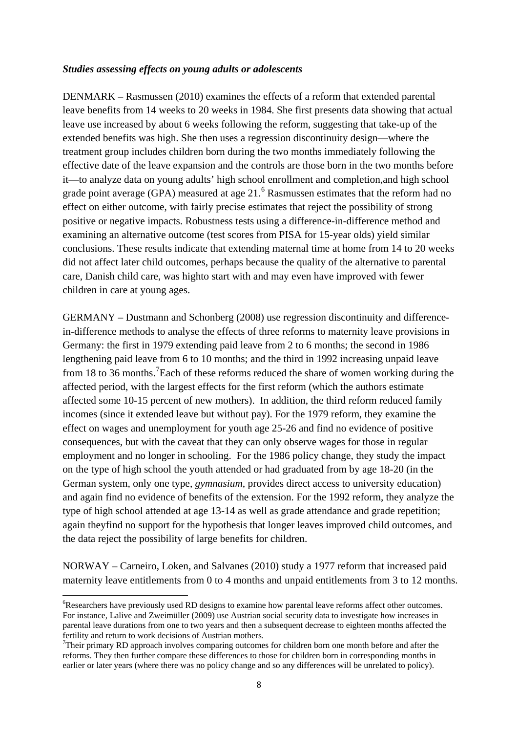#### *Studies assessing effects on young adults or adolescents*

DENMARK – Rasmussen (2010) examines the effects of a reform that extended parental leave benefits from 14 weeks to 20 weeks in 1984. She first presents data showing that actual leave use increased by about 6 weeks following the reform, suggesting that take-up of the extended benefits was high. She then uses a regression discontinuity design—where the treatment group includes children born during the two months immediately following the effective date of the leave expansion and the controls are those born in the two months before it—to analyze data on young adults' high school enrollment and completion,and high school grade point average (GPA) measured at age 21.<sup>[6](#page-8-0)</sup> Rasmussen estimates that the reform had no effect on either outcome, with fairly precise estimates that reject the possibility of strong positive or negative impacts. Robustness tests using a difference-in-difference method and examining an alternative outcome (test scores from PISA for 15-year olds) yield similar conclusions. These results indicate that extending maternal time at home from 14 to 20 weeks did not affect later child outcomes, perhaps because the quality of the alternative to parental care, Danish child care, was highto start with and may even have improved with fewer children in care at young ages.

GERMANY – Dustmann and Schonberg (2008) use regression discontinuity and differencein-difference methods to analyse the effects of three reforms to maternity leave provisions in Germany: the first in 1979 extending paid leave from 2 to 6 months; the second in 1986 lengthening paid leave from 6 to 10 months; and the third in 1992 increasing unpaid leave from 18 to 36 months.<sup>[7](#page-8-1)</sup> Each of these reforms reduced the share of women working during the affected period, with the largest effects for the first reform (which the authors estimate affected some 10-15 percent of new mothers). In addition, the third reform reduced family incomes (since it extended leave but without pay). For the 1979 reform, they examine the effect on wages and unemployment for youth age 25-26 and find no evidence of positive consequences, but with the caveat that they can only observe wages for those in regular employment and no longer in schooling. For the 1986 policy change, they study the impact on the type of high school the youth attended or had graduated from by age 18-20 (in the German system, only one type, *gymnasium*, provides direct access to university education) and again find no evidence of benefits of the extension. For the 1992 reform, they analyze the type of high school attended at age 13-14 as well as grade attendance and grade repetition; again theyfind no support for the hypothesis that longer leaves improved child outcomes, and the data reject the possibility of large benefits for children.

NORWAY – Carneiro, Loken, and Salvanes (2010) study a 1977 reform that increased paid maternity leave entitlements from 0 to 4 months and unpaid entitlements from 3 to 12 months.

<u>.</u>

<span id="page-8-0"></span><sup>&</sup>lt;sup>6</sup>Researchers have previously used RD designs to examine how parental leave reforms affect other outcomes. For instance, Lalive and Zweimüller (2009) use Austrian social security data to investigate how increases in parental leave durations from one to two years and then a subsequent decrease to eighteen months affected the fertility and return to work decisions of Austrian mothers.

<span id="page-8-1"></span> $7$ Their primary RD approach involves comparing outcomes for children born one month before and after the reforms. They then further compare these differences to those for children born in corresponding months in earlier or later years (where there was no policy change and so any differences will be unrelated to policy).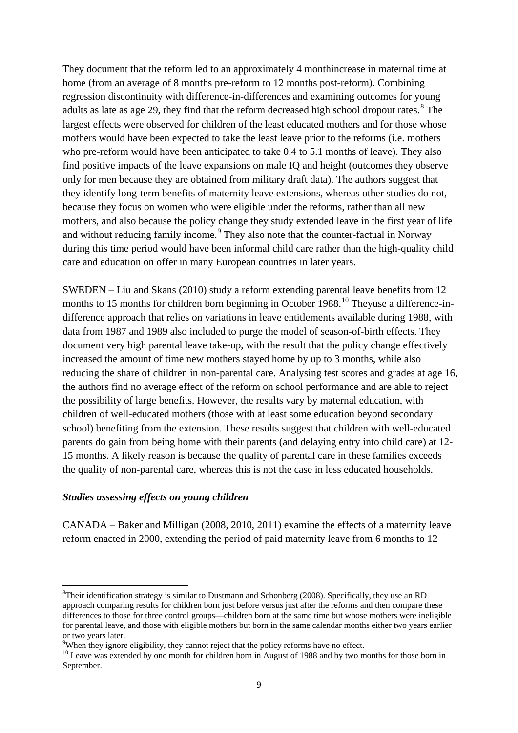They document that the reform led to an approximately 4 monthincrease in maternal time at home (from an average of 8 months pre-reform to 12 months post-reform). Combining regression discontinuity with difference-in-differences and examining outcomes for young adults as late as age 29, they find that the reform decreased high school dropout rates.<sup>[8](#page-9-0)</sup> The largest effects were observed for children of the least educated mothers and for those whose mothers would have been expected to take the least leave prior to the reforms (i.e. mothers who pre-reform would have been anticipated to take 0.4 to 5.1 months of leave). They also find positive impacts of the leave expansions on male IQ and height (outcomes they observe only for men because they are obtained from military draft data). The authors suggest that they identify long-term benefits of maternity leave extensions, whereas other studies do not, because they focus on women who were eligible under the reforms, rather than all new mothers, and also because the policy change they study extended leave in the first year of life and without reducing family income.<sup>[9](#page-9-1)</sup> They also note that the counter-factual in Norway during this time period would have been informal child care rather than the high-quality child care and education on offer in many European countries in later years.

SWEDEN – Liu and Skans (2010) study a reform extending parental leave benefits from 12 months to 15 months for children born beginning in October 1988.<sup>[10](#page-9-2)</sup> Theyuse a difference-indifference approach that relies on variations in leave entitlements available during 1988, with data from 1987 and 1989 also included to purge the model of season-of-birth effects. They document very high parental leave take-up, with the result that the policy change effectively increased the amount of time new mothers stayed home by up to 3 months, while also reducing the share of children in non-parental care. Analysing test scores and grades at age 16, the authors find no average effect of the reform on school performance and are able to reject the possibility of large benefits. However, the results vary by maternal education, with children of well-educated mothers (those with at least some education beyond secondary school) benefiting from the extension. These results suggest that children with well-educated parents do gain from being home with their parents (and delaying entry into child care) at 12- 15 months. A likely reason is because the quality of parental care in these families exceeds the quality of non-parental care, whereas this is not the case in less educated households.

#### *Studies assessing effects on young children*

.<br>-

CANADA – Baker and Milligan (2008, 2010, 2011) examine the effects of a maternity leave reform enacted in 2000, extending the period of paid maternity leave from 6 months to 12

<span id="page-9-0"></span><sup>&</sup>lt;sup>8</sup>Their identification strategy is similar to Dustmann and Schonberg (2008). Specifically, they use an RD approach comparing results for children born just before versus just after the reforms and then compare these differences to those for three control groups—children born at the same time but whose mothers were ineligible for parental leave, and those with eligible mothers but born in the same calendar months either two years earlier or two years later.

<sup>&</sup>lt;sup>9</sup>When they ignore eligibility, they cannot reject that the policy reforms have no effect.

<span id="page-9-2"></span><span id="page-9-1"></span><sup>&</sup>lt;sup>10</sup> Leave was extended by one month for children born in August of 1988 and by two months for those born in September.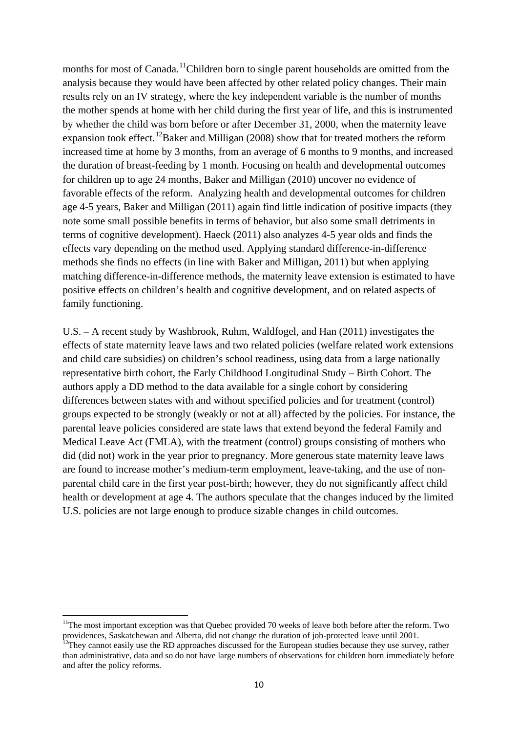months for most of Canada.<sup>[11](#page-10-0)</sup>Children born to single parent households are omitted from the analysis because they would have been affected by other related policy changes. Their main results rely on an IV strategy, where the key independent variable is the number of months the mother spends at home with her child during the first year of life, and this is instrumented by whether the child was born before or after December 31, 2000, when the maternity leave expansion took effect.<sup>[12](#page-10-1)</sup>Baker and Milligan (2008) show that for treated mothers the reform increased time at home by 3 months, from an average of 6 months to 9 months, and increased the duration of breast-feeding by 1 month. Focusing on health and developmental outcomes for children up to age 24 months, Baker and Milligan (2010) uncover no evidence of favorable effects of the reform. Analyzing health and developmental outcomes for children age 4-5 years, Baker and Milligan (2011) again find little indication of positive impacts (they note some small possible benefits in terms of behavior, but also some small detriments in terms of cognitive development). Haeck (2011) also analyzes 4-5 year olds and finds the effects vary depending on the method used. Applying standard difference-in-difference methods she finds no effects (in line with Baker and Milligan, 2011) but when applying matching difference-in-difference methods, the maternity leave extension is estimated to have positive effects on children's health and cognitive development, and on related aspects of family functioning.

U.S. – A recent study by Washbrook, Ruhm, Waldfogel, and Han (2011) investigates the effects of state maternity leave laws and two related policies (welfare related work extensions and child care subsidies) on children's school readiness, using data from a large nationally representative birth cohort, the Early Childhood Longitudinal Study – Birth Cohort. The authors apply a DD method to the data available for a single cohort by considering differences between states with and without specified policies and for treatment (control) groups expected to be strongly (weakly or not at all) affected by the policies. For instance, the parental leave policies considered are state laws that extend beyond the federal Family and Medical Leave Act (FMLA), with the treatment (control) groups consisting of mothers who did (did not) work in the year prior to pregnancy. More generous state maternity leave laws are found to increase mother's medium-term employment, leave-taking, and the use of nonparental child care in the first year post-birth; however, they do not significantly affect child health or development at age 4. The authors speculate that the changes induced by the limited U.S. policies are not large enough to produce sizable changes in child outcomes.

<span id="page-10-0"></span><sup>&</sup>lt;sup>11</sup>The most important exception was that Quebec provided 70 weeks of leave both before after the reform. Two providences, Saskatchewan and Alberta, did not change the duration of job-protected leave until 2001.<br><sup>12</sup>They cannot easily use the RD approaches discussed for the European studies because they use survey, rather

<span id="page-10-1"></span>than administrative, data and so do not have large numbers of observations for children born immediately before and after the policy reforms.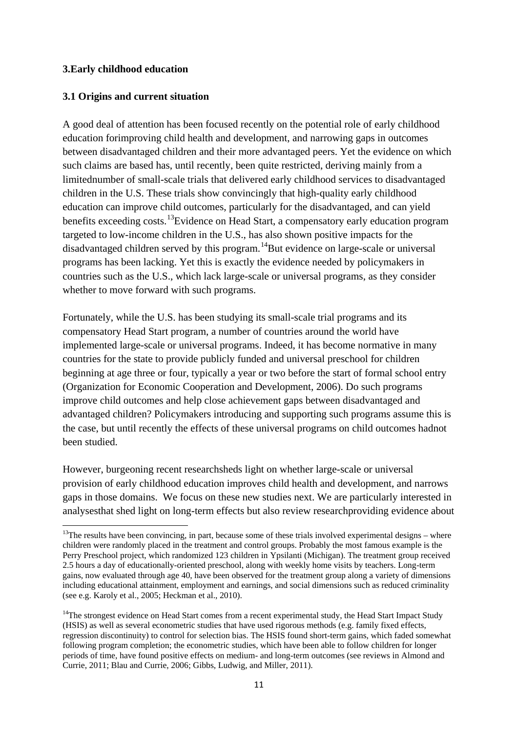#### **3.Early childhood education**

.<br>-

#### **3.1 Origins and current situation**

A good deal of attention has been focused recently on the potential role of early childhood education forimproving child health and development, and narrowing gaps in outcomes between disadvantaged children and their more advantaged peers. Yet the evidence on which such claims are based has, until recently, been quite restricted, deriving mainly from a limitednumber of small-scale trials that delivered early childhood services to disadvantaged children in the U.S. These trials show convincingly that high-quality early childhood education can improve child outcomes, particularly for the disadvantaged, and can yield benefits exceeding costs.<sup>[13](#page-11-0)</sup>Evidence on Head Start, a compensatory early education program targeted to low-income children in the U.S., has also shown positive impacts for the disadvantaged children served by this program.<sup>[14](#page-11-1)</sup>But evidence on large-scale or universal programs has been lacking. Yet this is exactly the evidence needed by policymakers in countries such as the U.S., which lack large-scale or universal programs, as they consider whether to move forward with such programs.

Fortunately, while the U.S. has been studying its small-scale trial programs and its compensatory Head Start program, a number of countries around the world have implemented large-scale or universal programs. Indeed, it has become normative in many countries for the state to provide publicly funded and universal preschool for children beginning at age three or four, typically a year or two before the start of formal school entry (Organization for Economic Cooperation and Development, 2006). Do such programs improve child outcomes and help close achievement gaps between disadvantaged and advantaged children? Policymakers introducing and supporting such programs assume this is the case, but until recently the effects of these universal programs on child outcomes hadnot been studied.

However, burgeoning recent researchsheds light on whether large-scale or universal provision of early childhood education improves child health and development, and narrows gaps in those domains. We focus on these new studies next. We are particularly interested in analysesthat shed light on long-term effects but also review researchproviding evidence about

<span id="page-11-0"></span> $13$ The results have been convincing, in part, because some of these trials involved experimental designs – where children were randomly placed in the treatment and control groups. Probably the most famous example is the Perry Preschool project, which randomized 123 children in [Ypsilanti](http://en.wikipedia.org/wiki/Ypsilanti) [\(Michigan\)](http://en.wikipedia.org/wiki/Michigan). The treatment group received 2.5 hours a day of educationally-oriented preschool, along with weekly home visits by teachers. Long-term gains, now evaluated through age 40, have been observed for the treatment group along a variety of dimensions including educational attainment, employment and earnings, and social dimensions such as reduced criminality (see e.g. Karoly et al., 2005; Heckman et al., 2010).

<span id="page-11-1"></span><sup>&</sup>lt;sup>14</sup>The strongest evidence on Head Start comes from a recent experimental study, the Head Start Impact Study (HSIS) as well as several econometric studies that have used rigorous methods (e.g. family fixed effects, regression discontinuity) to control for selection bias. The HSIS found short-term gains, which faded somewhat following program completion; the econometric studies, which have been able to follow children for longer periods of time, have found positive effects on medium- and long-term outcomes (see reviews in Almond and Currie, 2011; Blau and Currie, 2006; Gibbs, Ludwig, and Miller, 2011).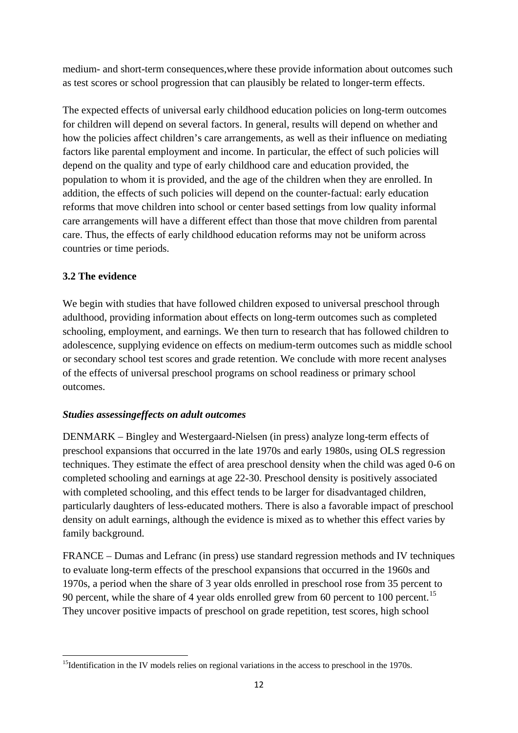medium- and short-term consequences,where these provide information about outcomes such as test scores or school progression that can plausibly be related to longer-term effects.

The expected effects of universal early childhood education policies on long-term outcomes for children will depend on several factors. In general, results will depend on whether and how the policies affect children's care arrangements, as well as their influence on mediating factors like parental employment and income. In particular, the effect of such policies will depend on the quality and type of early childhood care and education provided, the population to whom it is provided, and the age of the children when they are enrolled. In addition, the effects of such policies will depend on the counter-factual: early education reforms that move children into school or center based settings from low quality informal care arrangements will have a different effect than those that move children from parental care. Thus, the effects of early childhood education reforms may not be uniform across countries or time periods.

# **3.2 The evidence**

<u>.</u>

We begin with studies that have followed children exposed to universal preschool through adulthood, providing information about effects on long-term outcomes such as completed schooling, employment, and earnings. We then turn to research that has followed children to adolescence, supplying evidence on effects on medium-term outcomes such as middle school or secondary school test scores and grade retention. We conclude with more recent analyses of the effects of universal preschool programs on school readiness or primary school outcomes.

## *Studies assessingeffects on adult outcomes*

DENMARK – Bingley and Westergaard-Nielsen (in press) analyze long-term effects of preschool expansions that occurred in the late 1970s and early 1980s, using OLS regression techniques. They estimate the effect of area preschool density when the child was aged 0-6 on completed schooling and earnings at age 22-30. Preschool density is positively associated with completed schooling, and this effect tends to be larger for disadvantaged children, particularly daughters of less-educated mothers. There is also a favorable impact of preschool density on adult earnings, although the evidence is mixed as to whether this effect varies by family background.

FRANCE – Dumas and Lefranc (in press) use standard regression methods and IV techniques to evaluate long-term effects of the preschool expansions that occurred in the 1960s and 1970s, a period when the share of 3 year olds enrolled in preschool rose from 35 percent to 90 percent, while the share of 4 year olds enrolled grew from 60 percent to 100 percent.<sup>[15](#page-12-0)</sup> They uncover positive impacts of preschool on grade repetition, test scores, high school

<span id="page-12-0"></span><sup>&</sup>lt;sup>15</sup>Identification in the IV models relies on regional variations in the access to preschool in the 1970s.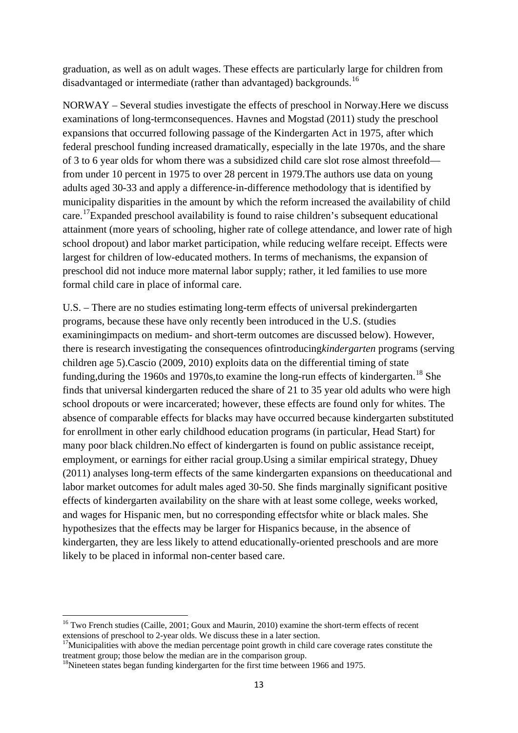graduation, as well as on adult wages. These effects are particularly large for children from disadvantaged or intermediate (rather than advantaged) backgrounds.<sup>[16](#page-13-0)</sup>

NORWAY – Several studies investigate the effects of preschool in Norway.Here we discuss examinations of long-termconsequences. Havnes and Mogstad (2011) study the preschool expansions that occurred following passage of the Kindergarten Act in 1975, after which federal preschool funding increased dramatically, especially in the late 1970s, and the share of 3 to 6 year olds for whom there was a subsidized child care slot rose almost threefold from under 10 percent in 1975 to over 28 percent in 1979.The authors use data on young adults aged 30-33 and apply a difference-in-difference methodology that is identified by municipality disparities in the amount by which the reform increased the availability of child care.<sup>[17](#page-13-1)</sup>Expanded preschool availability is found to raise children's subsequent educational attainment (more years of schooling, higher rate of college attendance, and lower rate of high school dropout) and labor market participation, while reducing welfare receipt. Effects were largest for children of low-educated mothers. In terms of mechanisms, the expansion of preschool did not induce more maternal labor supply; rather, it led families to use more formal child care in place of informal care.

U.S. – There are no studies estimating long-term effects of universal prekindergarten programs, because these have only recently been introduced in the U.S. (studies examiningimpacts on medium- and short-term outcomes are discussed below). However, there is research investigating the consequences ofintroducing*kindergarten* programs (serving children age 5).Cascio (2009, 2010) exploits data on the differential timing of state funding, during the 1960s and 1970s, to examine the long-run effects of kindergarten.<sup>[18](#page-13-2)</sup> She finds that universal kindergarten reduced the share of 21 to 35 year old adults who were high school dropouts or were incarcerated; however, these effects are found only for whites. The absence of comparable effects for blacks may have occurred because kindergarten substituted for enrollment in other early childhood education programs (in particular, Head Start) for many poor black children.No effect of kindergarten is found on public assistance receipt, employment, or earnings for either racial group.Using a similar empirical strategy, Dhuey (2011) analyses long-term effects of the same kindergarten expansions on theeducational and labor market outcomes for adult males aged 30-50. She finds marginally significant positive effects of kindergarten availability on the share with at least some college, weeks worked, and wages for Hispanic men, but no corresponding effectsfor white or black males. She hypothesizes that the effects may be larger for Hispanics because, in the absence of kindergarten, they are less likely to attend educationally-oriented preschools and are more likely to be placed in informal non-center based care.

<sup>&</sup>lt;sup>16</sup> Two French studies (Caille, 2001; Goux and Maurin, 2010) examine the short-term effects of recent

<span id="page-13-1"></span><span id="page-13-0"></span>extensions of preschool to 2-year olds. We discuss these in a later section.<br><sup>17</sup>Municipalities with above the median percentage point growth in child care coverage rates constitute the treatment group: those below the me

<span id="page-13-2"></span> $18$ Nineteen states began funding kindergarten for the first time between 1966 and 1975.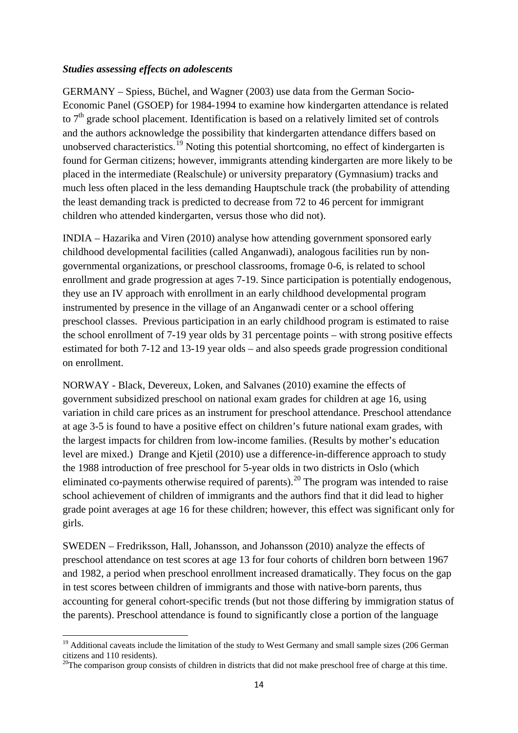#### *Studies assessing effects on adolescents*

GERMANY – Spiess, Büchel, and Wagner (2003) use data from the German Socio-Economic Panel (GSOEP) for 1984-1994 to examine how kindergarten attendance is related to  $7<sup>th</sup>$  grade school placement. Identification is based on a relatively limited set of controls and the authors acknowledge the possibility that kindergarten attendance differs based on unobserved characteristics.<sup>[19](#page-14-0)</sup> Noting this potential shortcoming, no effect of kindergarten is found for German citizens; however, immigrants attending kindergarten are more likely to be placed in the intermediate (Realschule) or university preparatory (Gymnasium) tracks and much less often placed in the less demanding Hauptschule track (the probability of attending the least demanding track is predicted to decrease from 72 to 46 percent for immigrant children who attended kindergarten, versus those who did not).

INDIA – Hazarika and Viren (2010) analyse how attending government sponsored early childhood developmental facilities (called Anganwadi), analogous facilities run by nongovernmental organizations, or preschool classrooms, fromage 0-6, is related to school enrollment and grade progression at ages 7-19. Since participation is potentially endogenous, they use an IV approach with enrollment in an early childhood developmental program instrumented by presence in the village of an Anganwadi center or a school offering preschool classes. Previous participation in an early childhood program is estimated to raise the school enrollment of 7-19 year olds by 31 percentage points – with strong positive effects estimated for both 7-12 and 13-19 year olds – and also speeds grade progression conditional on enrollment.

NORWAY - Black, Devereux, Loken, and Salvanes (2010) examine the effects of government subsidized preschool on national exam grades for children at age 16, using variation in child care prices as an instrument for preschool attendance. Preschool attendance at age 3-5 is found to have a positive effect on children's future national exam grades, with the largest impacts for children from low-income families. (Results by mother's education level are mixed.) Drange and Kjetil (2010) use a difference-in-difference approach to study the 1988 introduction of free preschool for 5-year olds in two districts in Oslo (which eliminated co-payments otherwise required of parents).<sup>[20](#page-14-1)</sup> The program was intended to raise school achievement of children of immigrants and the authors find that it did lead to higher grade point averages at age 16 for these children; however, this effect was significant only for girls.

SWEDEN – Fredriksson, Hall, Johansson, and Johansson (2010) analyze the effects of preschool attendance on test scores at age 13 for four cohorts of children born between 1967 and 1982, a period when preschool enrollment increased dramatically. They focus on the gap in test scores between children of immigrants and those with native-born parents, thus accounting for general cohort-specific trends (but not those differing by immigration status of the parents). Preschool attendance is found to significantly close a portion of the language

<span id="page-14-0"></span><sup>&</sup>lt;sup>19</sup> Additional caveats include the limitation of the study to West Germany and small sample sizes (206 German citizens and 110 residents).

<span id="page-14-1"></span> $20$ The comparison group consists of children in districts that did not make preschool free of charge at this time.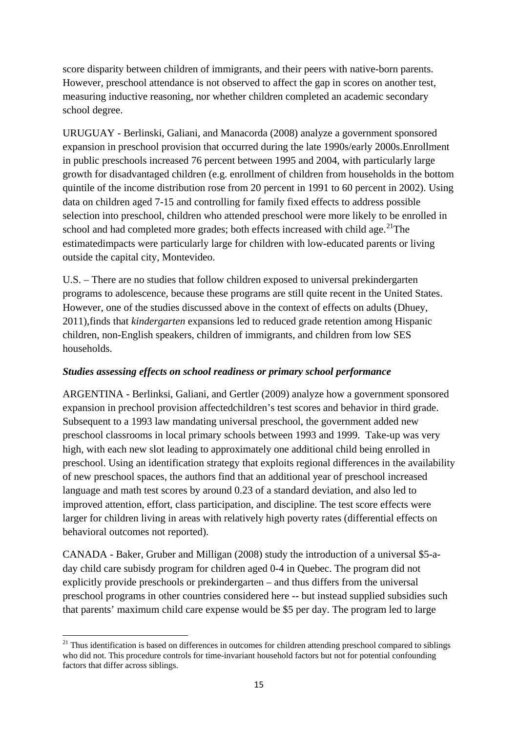score disparity between children of immigrants, and their peers with native-born parents. However, preschool attendance is not observed to affect the gap in scores on another test, measuring inductive reasoning, nor whether children completed an academic secondary school degree.

URUGUAY - Berlinski, Galiani, and Manacorda (2008) analyze a government sponsored expansion in preschool provision that occurred during the late 1990s/early 2000s.Enrollment in public preschools increased 76 percent between 1995 and 2004, with particularly large growth for disadvantaged children (e.g. enrollment of children from households in the bottom quintile of the income distribution rose from 20 percent in 1991 to 60 percent in 2002). Using data on children aged 7-15 and controlling for family fixed effects to address possible selection into preschool, children who attended preschool were more likely to be enrolled in school and had completed more grades; both effects increased with child age.<sup>[21](#page-15-0)</sup>The estimatedimpacts were particularly large for children with low-educated parents or living outside the capital city, Montevideo.

U.S. – There are no studies that follow children exposed to universal prekindergarten programs to adolescence, because these programs are still quite recent in the United States. However, one of the studies discussed above in the context of effects on adults (Dhuey, 2011),finds that *kindergarten* expansions led to reduced grade retention among Hispanic children, non-English speakers, children of immigrants, and children from low SES households.

### *Studies assessing effects on school readiness or primary school performance*

ARGENTINA - Berlinksi, Galiani, and Gertler (2009) analyze how a government sponsored expansion in prechool provision affectedchildren's test scores and behavior in third grade. Subsequent to a 1993 law mandating universal preschool, the government added new preschool classrooms in local primary schools between 1993 and 1999. Take-up was very high, with each new slot leading to approximately one additional child being enrolled in preschool. Using an identification strategy that exploits regional differences in the availability of new preschool spaces, the authors find that an additional year of preschool increased language and math test scores by around 0.23 of a standard deviation, and also led to improved attention, effort, class participation, and discipline. The test score effects were larger for children living in areas with relatively high poverty rates (differential effects on behavioral outcomes not reported).

CANADA - Baker, Gruber and Milligan (2008) study the introduction of a universal \$5-aday child care subisdy program for children aged 0-4 in Quebec. The program did not explicitly provide preschools or prekindergarten – and thus differs from the universal preschool programs in other countries considered here -- but instead supplied subsidies such that parents' maximum child care expense would be \$5 per day. The program led to large

<span id="page-15-0"></span> $21$  Thus identification is based on differences in outcomes for children attending preschool compared to siblings who did not. This procedure controls for time-invariant household factors but not for potential confounding factors that differ across siblings.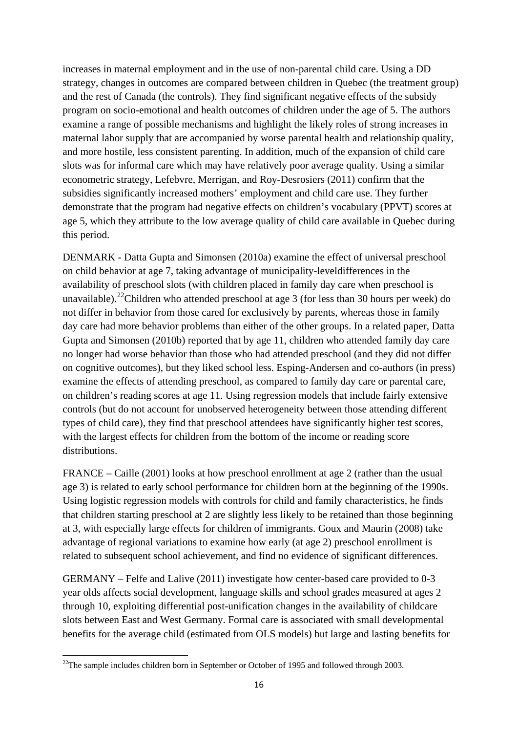increases in maternal employment and in the use of non-parental child care. Using a DD strategy, changes in outcomes are compared between children in Quebec (the treatment group) and the rest of Canada (the controls). They find significant negative effects of the subsidy program on socio-emotional and health outcomes of children under the age of 5. The authors examine a range of possible mechanisms and highlight the likely roles of strong increases in maternal labor supply that are accompanied by worse parental health and relationship quality, and more hostile, less consistent parenting. In addition, much of the expansion of child care slots was for informal care which may have relatively poor average quality. Using a similar econometric strategy, Lefebvre, Merrigan, and Roy-Desrosiers (2011) confirm that the subsidies significantly increased mothers' employment and child care use. They further demonstrate that the program had negative effects on children's vocabulary (PPVT) scores at age 5, which they attribute to the low average quality of child care available in Quebec during this period.

DENMARK - Datta Gupta and Simonsen (2010a) examine the effect of universal preschool on child behavior at age 7, taking advantage of municipality-leveldifferences in the availability of preschool slots (with children placed in family day care when preschool is unavailable).<sup>[22](#page-16-0)</sup> Children who attended preschool at age 3 (for less than 30 hours per week) do not differ in behavior from those cared for exclusively by parents, whereas those in family day care had more behavior problems than either of the other groups. In a related paper, Datta Gupta and Simonsen (2010b) reported that by age 11, children who attended family day care no longer had worse behavior than those who had attended preschool (and they did not differ on cognitive outcomes), but they liked school less. Esping-Andersen and co-authors (in press) examine the effects of attending preschool, as compared to family day care or parental care, on children's reading scores at age 11. Using regression models that include fairly extensive controls (but do not account for unobserved heterogeneity between those attending different types of child care), they find that preschool attendees have significantly higher test scores, with the largest effects for children from the bottom of the income or reading score distributions.

FRANCE – Caille (2001) looks at how preschool enrollment at age 2 (rather than the usual age 3) is related to early school performance for children born at the beginning of the 1990s. Using logistic regression models with controls for child and family characteristics, he finds that children starting preschool at 2 are slightly less likely to be retained than those beginning at 3, with especially large effects for children of immigrants. Goux and Maurin (2008) take advantage of regional variations to examine how early (at age 2) preschool enrollment is related to subsequent school achievement, and find no evidence of significant differences.

GERMANY – Felfe and Lalive (2011) investigate how center-based care provided to 0-3 year olds affects social development, language skills and school grades measured at ages 2 through 10, exploiting differential post-unification changes in the availability of childcare slots between East and West Germany. Formal care is associated with small developmental benefits for the average child (estimated from OLS models) but large and lasting benefits for

<u>.</u>

<span id="page-16-0"></span> $22$ The sample includes children born in September or October of 1995 and followed through 2003.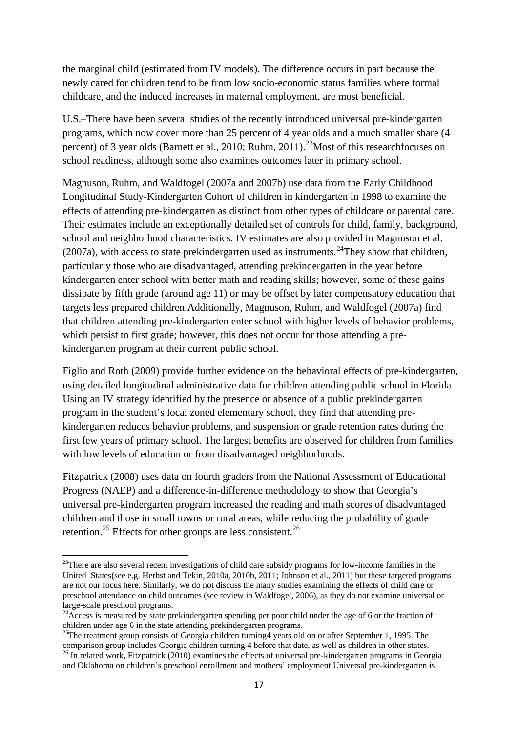the marginal child (estimated from IV models). The difference occurs in part because the newly cared for children tend to be from low socio-economic status families where formal childcare, and the induced increases in maternal employment, are most beneficial.

U.S.–There have been several studies of the recently introduced universal pre-kindergarten programs, which now cover more than 25 percent of 4 year olds and a much smaller share (4 percent) of 3 year olds (Barnett et al., 2010; Ruhm, 2011).<sup>[23](#page-17-0)</sup> Most of this researchfocuses on school readiness, although some also examines outcomes later in primary school.

Magnuson, Ruhm, and Waldfogel (2007a and 2007b) use data from the Early Childhood Longitudinal Study-Kindergarten Cohort of children in kindergarten in 1998 to examine the effects of attending pre-kindergarten as distinct from other types of childcare or parental care. Their estimates include an exceptionally detailed set of controls for child, family, background, school and neighborhood characteristics. IV estimates are also provided in Magnuson et al.  $(2007a)$ , with access to state prekindergarten used as instruments.<sup>[24](#page-17-1)</sup>They show that children, particularly those who are disadvantaged, attending prekindergarten in the year before kindergarten enter school with better math and reading skills; however, some of these gains dissipate by fifth grade (around age 11) or may be offset by later compensatory education that targets less prepared children.Additionally, Magnuson, Ruhm, and Waldfogel (2007a) find that children attending pre-kindergarten enter school with higher levels of behavior problems, which persist to first grade; however, this does not occur for those attending a prekindergarten program at their current public school.

Figlio and Roth (2009) provide further evidence on the behavioral effects of pre-kindergarten, using detailed longitudinal administrative data for children attending public school in Florida. Using an IV strategy identified by the presence or absence of a public prekindergarten program in the student's local zoned elementary school, they find that attending prekindergarten reduces behavior problems, and suspension or grade retention rates during the first few years of primary school. The largest benefits are observed for children from families with low levels of education or from disadvantaged neighborhoods.

Fitzpatrick (2008) uses data on fourth graders from the National Assessment of Educational Progress (NAEP) and a difference-in-difference methodology to show that Georgia's universal pre-kindergarten program increased the reading and math scores of disadvantaged children and those in small towns or rural areas, while reducing the probability of grade retention.<sup>[25](#page-17-2)</sup> Effects for other groups are less consistent.<sup>[26](#page-17-3)</sup>

<span id="page-17-0"></span><sup>&</sup>lt;sup>23</sup>There are also several recent investigations of child care subsidy programs for low-income families in the United States(see e.g. Herbst and Tekin, 2010a, 2010b, 2011; Johnson et al., 2011) but these targeted programs are not our focus here. Similarly, we do not discuss the many studies examining the effects of child care or preschool attendance on child outcomes (see review in Waldfogel, 2006), as they do not examine universal or

<span id="page-17-1"></span>large-scale preschool programs.<br><sup>24</sup>Access is measured by state prekindergarten spending per poor child under the age of 6 or the fraction of children under age 6 in the state attending prekindergarten programs.

<span id="page-17-2"></span><sup>&</sup>lt;sup>25</sup>The treatment group consists of Georgia children turning *A* years old on or after September 1, 1995. The comparison group includes Georgia children turning 4 before that date, as well as children in other states. 26 In related work, Fitzpatrick (2010) examines the effects of universal pre-kindergarten programs in Georgia

<span id="page-17-3"></span>and Oklahoma on children's preschool enrollment and mothers' employment.Universal pre-kindergarten is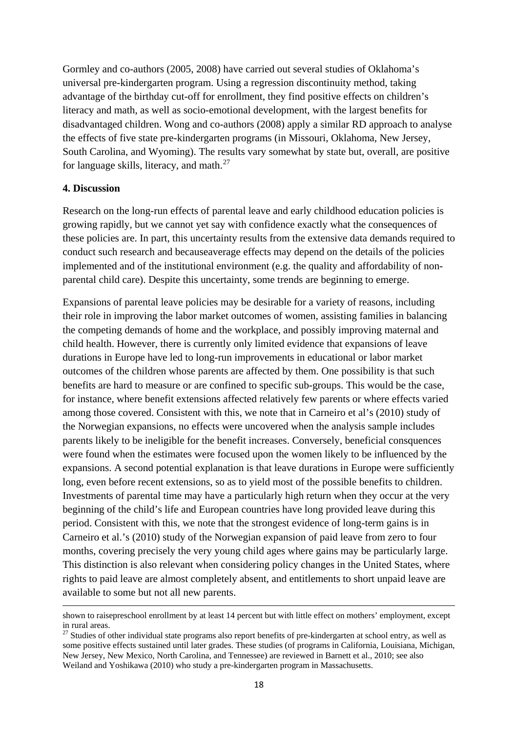Gormley and co-authors (2005, 2008) have carried out several studies of Oklahoma's universal pre-kindergarten program. Using a regression discontinuity method, taking advantage of the birthday cut-off for enrollment, they find positive effects on children's literacy and math, as well as socio-emotional development, with the largest benefits for disadvantaged children. Wong and co-authors (2008) apply a similar RD approach to analyse the effects of five state pre-kindergarten programs (in Missouri, Oklahoma, New Jersey, South Carolina, and Wyoming). The results vary somewhat by state but, overall, are positive for language skills, literacy, and math. $^{27}$  $^{27}$  $^{27}$ 

#### **4. Discussion**

.<br>-

Research on the long-run effects of parental leave and early childhood education policies is growing rapidly, but we cannot yet say with confidence exactly what the consequences of these policies are. In part, this uncertainty results from the extensive data demands required to conduct such research and becauseaverage effects may depend on the details of the policies implemented and of the institutional environment (e.g. the quality and affordability of nonparental child care). Despite this uncertainty, some trends are beginning to emerge.

Expansions of parental leave policies may be desirable for a variety of reasons, including their role in improving the labor market outcomes of women, assisting families in balancing the competing demands of home and the workplace, and possibly improving maternal and child health. However, there is currently only limited evidence that expansions of leave durations in Europe have led to long-run improvements in educational or labor market outcomes of the children whose parents are affected by them. One possibility is that such benefits are hard to measure or are confined to specific sub-groups. This would be the case, for instance, where benefit extensions affected relatively few parents or where effects varied among those covered. Consistent with this, we note that in Carneiro et al's (2010) study of the Norwegian expansions, no effects were uncovered when the analysis sample includes parents likely to be ineligible for the benefit increases. Conversely, beneficial consquences were found when the estimates were focused upon the women likely to be influenced by the expansions. A second potential explanation is that leave durations in Europe were sufficiently long, even before recent extensions, so as to yield most of the possible benefits to children. Investments of parental time may have a particularly high return when they occur at the very beginning of the child's life and European countries have long provided leave during this period. Consistent with this, we note that the strongest evidence of long-term gains is in Carneiro et al.'s (2010) study of the Norwegian expansion of paid leave from zero to four months, covering precisely the very young child ages where gains may be particularly large. This distinction is also relevant when considering policy changes in the United States, where rights to paid leave are almost completely absent, and entitlements to short unpaid leave are available to some but not all new parents.

shown to raisepreschool enrollment by at least 14 percent but with little effect on mothers' employment, except in rural areas.

<span id="page-18-0"></span> $27$  Studies of other individual state programs also report benefits of pre-kindergarten at school entry, as well as some positive effects sustained until later grades. These studies (of programs in California, Louisiana, Michigan, New Jersey, New Mexico, North Carolina, and Tennessee) are reviewed in Barnett et al., 2010; see also Weiland and Yoshikawa (2010) who study a pre-kindergarten program in Massachusetts.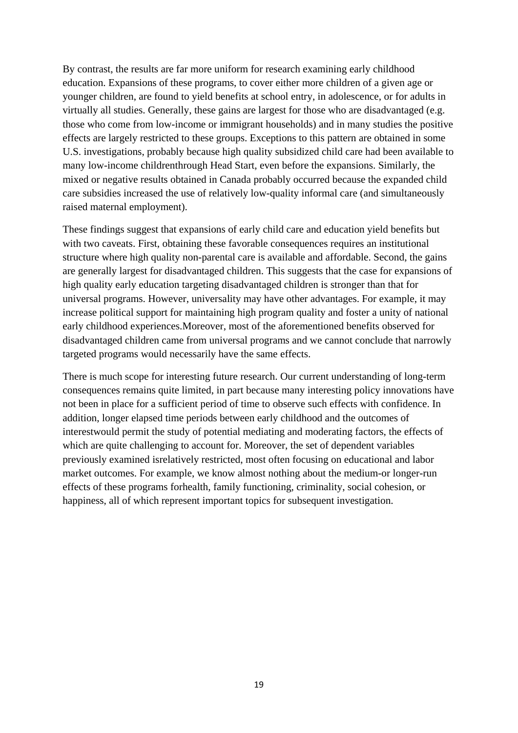By contrast, the results are far more uniform for research examining early childhood education. Expansions of these programs, to cover either more children of a given age or younger children, are found to yield benefits at school entry, in adolescence, or for adults in virtually all studies. Generally, these gains are largest for those who are disadvantaged (e.g. those who come from low-income or immigrant households) and in many studies the positive effects are largely restricted to these groups. Exceptions to this pattern are obtained in some U.S. investigations, probably because high quality subsidized child care had been available to many low-income childrenthrough Head Start, even before the expansions. Similarly, the mixed or negative results obtained in Canada probably occurred because the expanded child care subsidies increased the use of relatively low-quality informal care (and simultaneously raised maternal employment).

These findings suggest that expansions of early child care and education yield benefits but with two caveats. First, obtaining these favorable consequences requires an institutional structure where high quality non-parental care is available and affordable. Second, the gains are generally largest for disadvantaged children. This suggests that the case for expansions of high quality early education targeting disadvantaged children is stronger than that for universal programs. However, universality may have other advantages. For example, it may increase political support for maintaining high program quality and foster a unity of national early childhood experiences.Moreover, most of the aforementioned benefits observed for disadvantaged children came from universal programs and we cannot conclude that narrowly targeted programs would necessarily have the same effects.

There is much scope for interesting future research. Our current understanding of long-term consequences remains quite limited, in part because many interesting policy innovations have not been in place for a sufficient period of time to observe such effects with confidence. In addition, longer elapsed time periods between early childhood and the outcomes of interestwould permit the study of potential mediating and moderating factors, the effects of which are quite challenging to account for. Moreover, the set of dependent variables previously examined isrelatively restricted, most often focusing on educational and labor market outcomes. For example, we know almost nothing about the medium-or longer-run effects of these programs forhealth, family functioning, criminality, social cohesion, or happiness, all of which represent important topics for subsequent investigation.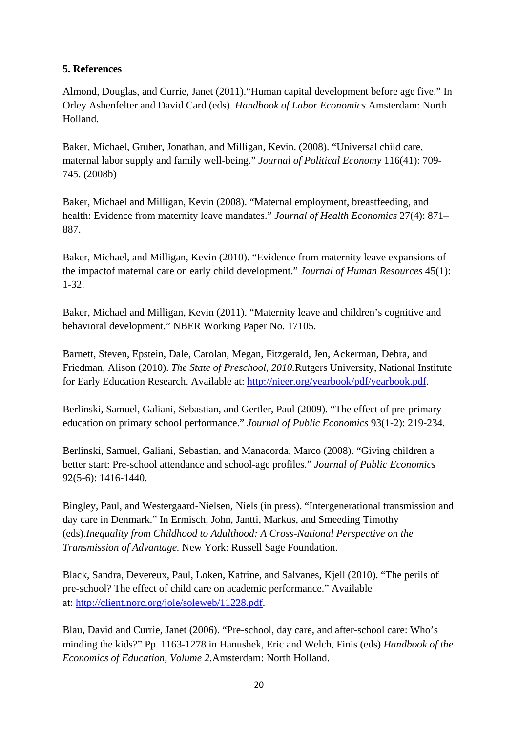### **5. References**

Almond, Douglas, and Currie, Janet (2011)."Human capital development before age five." In Orley Ashenfelter and David Card (eds). *Handbook of Labor Economics.*Amsterdam: North Holland.

Baker, Michael, Gruber, Jonathan, and Milligan, Kevin. (2008). "Universal child care, maternal labor supply and family well-being." *Journal of Political Economy* 116(41): 709- 745. (2008b)

Baker, Michael and Milligan, Kevin (2008). "Maternal employment, breastfeeding, and health: Evidence from maternity leave mandates." *Journal of Health Economics* 27(4): 871– 887.

Baker, Michael, and Milligan, Kevin (2010). "Evidence from maternity leave expansions of the impactof maternal care on early child development." *Journal of Human Resources* 45(1): 1-32.

Baker, Michael and Milligan, Kevin (2011). "Maternity leave and children's cognitive and behavioral development." NBER Working Paper No. 17105.

Barnett, Steven, Epstein, Dale, Carolan, Megan, Fitzgerald, Jen, Ackerman, Debra, and Friedman, Alison (2010). *The State of Preschool, 2010.*Rutgers University, National Institute for Early Education Research. Available at: [http://nieer.org/yearbook/pdf/yearbook.pdf.](http://nieer.org/yearbook/pdf/yearbook.pdf)

Berlinski, Samuel, Galiani, Sebastian, and Gertler, Paul (2009). "The effect of pre-primary education on primary school performance." *Journal of Public Economics* 93(1-2): 219-234.

Berlinski, Samuel, Galiani, Sebastian, and Manacorda, Marco (2008). "Giving children a better start: Pre-school attendance and school-age profiles." *Journal of Public Economics* 92(5-6): 1416-1440.

Bingley, Paul, and Westergaard-Nielsen, Niels (in press). "Intergenerational transmission and day care in Denmark." In Ermisch, John, Jantti, Markus, and Smeeding Timothy (eds).*Inequality from Childhood to Adulthood: A Cross-National Perspective on the Transmission of Advantage.* New York: Russell Sage Foundation.

Black, Sandra, Devereux, Paul, Loken, Katrine, and Salvanes, Kjell (2010). "The perils of pre-school? The effect of child care on academic performance." Available at: [http://client.norc.org/jole/soleweb/11228.pdf.](http://client.norc.org/jole/soleweb/11228.pdf)

Blau, David and Currie, Janet (2006). "Pre-school, day care, and after-school care: Who's minding the kids?" Pp. 1163-1278 in Hanushek, Eric and Welch, Finis (eds) *Handbook of the Economics of Education, Volume 2.*Amsterdam: North Holland.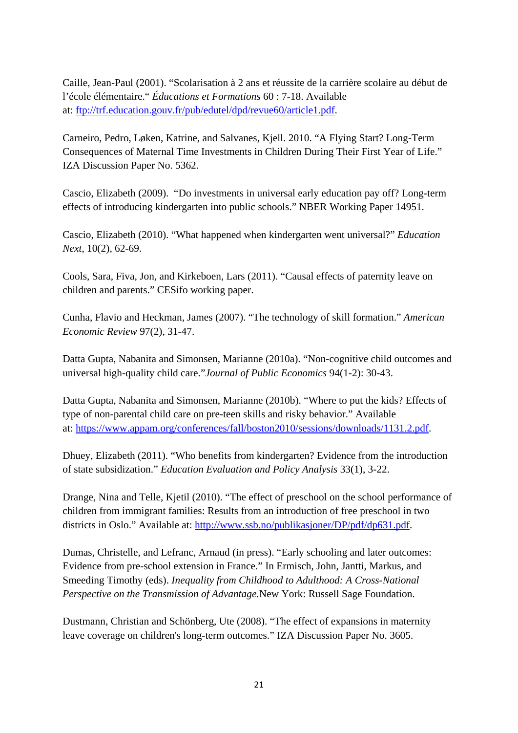Caille, Jean-Paul (2001). "Scolarisation à 2 ans et réussite de la carrière scolaire au début de l'école élémentaire." *Éducations et Formations* 60 : 7-18. Available at: [ftp://trf.education.gouv.fr/pub/edutel/dpd/revue60/article1.pdf.](ftp://trf.education.gouv.fr/pub/edutel/dpd/revue60/article1.pdf)

Carneiro, Pedro, Løken, Katrine, and Salvanes, Kjell. 2010. "A Flying Start? Long-Term Consequences of Maternal Time Investments in Children During Their First Year of Life." IZA Discussion Paper No. 5362.

Cascio, Elizabeth (2009). "Do investments in universal early education pay off? Long-term effects of introducing kindergarten into public schools." NBER Working Paper 14951.

Cascio, Elizabeth (2010). "What happened when kindergarten went universal?" *Education Next*, 10(2), 62-69.

Cools, Sara, Fiva, Jon, and Kirkeboen, Lars (2011). "Causal effects of paternity leave on children and parents." CESifo working paper.

Cunha, Flavio and Heckman, James (2007). "The technology of skill formation." *American Economic Review* 97(2), 31-47.

Datta Gupta, Nabanita and Simonsen, Marianne (2010a). "Non-cognitive child outcomes and universal high-quality child care."*Journal of Public Economics* 94(1-2): 30-43.

Datta Gupta, Nabanita and Simonsen, Marianne (2010b). "Where to put the kids? Effects of type of non-parental child care on pre-teen skills and risky behavior." Available at: [https://www.appam.org/conferences/fall/boston2010/sessions/downloads/1131.2.pdf.](https://www.appam.org/conferences/fall/boston2010/sessions/downloads/1131.2.pdf)

Dhuey, Elizabeth (2011). "Who benefits from kindergarten? Evidence from the introduction of state subsidization." *Education Evaluation and Policy Analysis* 33(1), 3-22.

Drange, Nina and Telle, Kjetil (2010). "The effect of preschool on the school performance of children from immigrant families: Results from an introduction of free preschool in two districts in Oslo." Available at: [http://www.ssb.no/publikasjoner/DP/pdf/dp631.pdf.](http://www.ssb.no/publikasjoner/DP/pdf/dp631.pdf)

Dumas, Christelle, and Lefranc, Arnaud (in press). "Early schooling and later outcomes: Evidence from pre-school extension in France." In Ermisch, John, Jantti, Markus, and Smeeding Timothy (eds). *Inequality from Childhood to Adulthood: A Cross-National Perspective on the Transmission of Advantage.*New York: Russell Sage Foundation.

Dustmann, Christian and Schönberg, Ute (2008). "The effect of expansions in maternity leave coverage on children's long-term outcomes." IZA Discussion Paper No. 3605.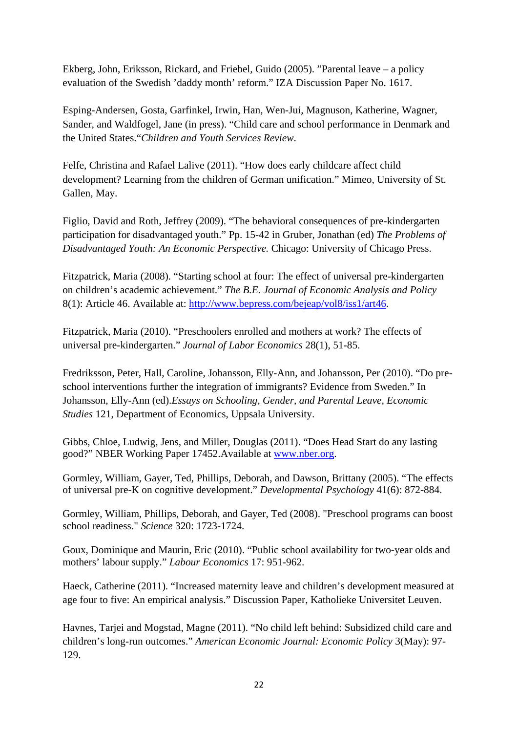Ekberg, John, Eriksson, Rickard, and Friebel, Guido (2005). "Parental leave – a policy evaluation of the Swedish 'daddy month' reform." IZA Discussion Paper No. 1617.

Esping-Andersen, Gosta, Garfinkel, Irwin, Han, Wen-Jui, Magnuson, Katherine, Wagner, Sander, and Waldfogel, Jane (in press). "Child care and school performance in Denmark and the United States."*Children and Youth Services Review*.

Felfe, Christina and Rafael Lalive (2011). "How does early childcare affect child development? Learning from the children of German unification." Mimeo, University of St. Gallen, May.

Figlio, David and Roth, Jeffrey (2009). "The behavioral consequences of pre-kindergarten participation for disadvantaged youth." Pp. 15-42 in Gruber, Jonathan (ed) *The Problems of Disadvantaged Youth: An Economic Perspective.* Chicago: University of Chicago Press.

Fitzpatrick, Maria (2008). "Starting school at four: The effect of universal pre-kindergarten on children's academic achievement." *The B.E. Journal of Economic Analysis and Policy* 8(1): Article 46. Available at: [http://www.bepress.com/bejeap/vol8/iss1/art46.](http://www.bepress.com/bejeap/vol8/iss1/art46)

Fitzpatrick, Maria (2010). "Preschoolers enrolled and mothers at work? The effects of universal pre-kindergarten." *Journal of Labor Economics* 28(1), 51-85.

Fredriksson, Peter, Hall, Caroline, Johansson, Elly-Ann, and Johansson, Per (2010). "Do preschool interventions further the integration of immigrants? Evidence from Sweden." In Johansson, Elly-Ann (ed).*Essays on Schooling, Gender, and Parental Leave, Economic Studies* 121, Department of Economics, Uppsala University.

Gibbs, Chloe, Ludwig, Jens, and Miller, Douglas (2011). "Does Head Start do any lasting good?" NBER Working Paper 17452.Available at [www.nber.org.](http://www.nber.org/)

Gormley, William, Gayer, Ted, Phillips, Deborah, and Dawson, Brittany (2005). "The effects of universal pre-K on cognitive development." *Developmental Psychology* 41(6): 872-884.

Gormley, William, Phillips, Deborah, and Gayer, Ted (2008). ["Preschool programs can boost](http://explore.georgetown.edu/publications/index.cfm?Action=View&DocumentID=35124)  [school readiness.](http://explore.georgetown.edu/publications/index.cfm?Action=View&DocumentID=35124)" *Science* 320: 1723-1724.

Goux, Dominique and Maurin, Eric (2010). "Public school availability for two-year olds and mothers' labour supply." *Labour Economics* 17: 951-962.

Haeck, Catherine (2011). "Increased maternity leave and children's development measured at age four to five: An empirical analysis." Discussion Paper, Katholieke Universitet Leuven.

Havnes, Tarjei and Mogstad, Magne (2011). "No child left behind: Subsidized child care and children's long-run outcomes." *American Economic Journal: Economic Policy* 3(May): 97- 129.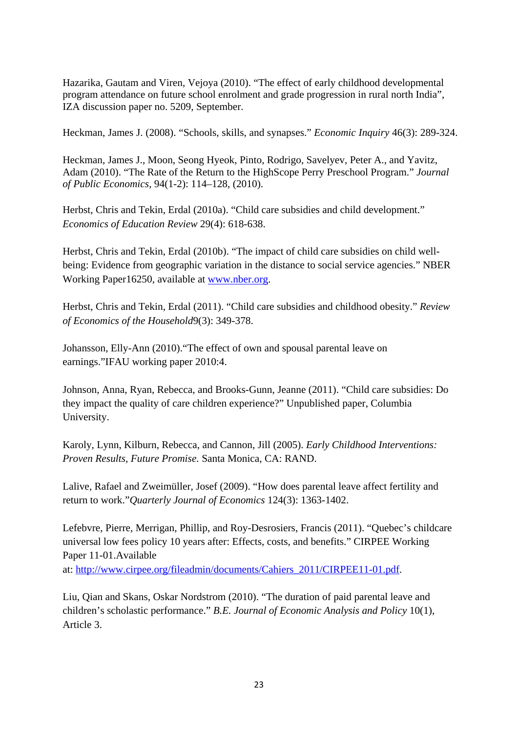Hazarika, Gautam and Viren, Vejoya (2010). "The effect of early childhood developmental program attendance on future school enrolment and grade progression in rural north India", IZA discussion paper no. 5209, September.

Heckman, James J. (2008). "Schools, skills, and synapses." *Economic Inquiry* 46(3): 289-324.

Heckman, James J., Moon, Seong Hyeok, Pinto, Rodrigo, Savelyev, Peter A., and Yavitz, Adam (2010). "The Rate of the Return to the HighScope Perry Preschool Program." *Journal of Public Economics*, 94(1-2): 114–128, (2010).

Herbst, Chris and Tekin, Erdal (2010a). "Child care subsidies and child development." *Economics of Education Review* 29(4): 618-638.

Herbst, Chris and Tekin, Erdal (2010b). "The impact of child care subsidies on child wellbeing: Evidence from geographic variation in the distance to social service agencies." NBER Working Paper16250, available at [www.nber.org.](http://www.nber.org/)

Herbst, Chris and Tekin, Erdal (2011). "Child care subsidies and childhood obesity." *Review of Economics of the Household*9(3): 349-378.

Johansson, Elly-Ann (2010)."The effect of own and spousal parental leave on earnings."IFAU working paper 2010:4.

Johnson, Anna, Ryan, Rebecca, and Brooks-Gunn, Jeanne (2011). "Child care subsidies: Do they impact the quality of care children experience?" Unpublished paper, Columbia University.

Karoly, Lynn, Kilburn, Rebecca, and Cannon, Jill (2005). *Early Childhood Interventions: Proven Results, Future Promise.* Santa Monica, CA: RAND.

Lalive, Rafael and Zweimüller, Josef (2009). "How does parental leave affect fertility and return to work."*Quarterly Journal of Economics* 124(3): 1363-1402.

Lefebvre, Pierre, Merrigan, Phillip, and Roy-Desrosiers, Francis (2011). "Quebec's childcare universal low fees policy 10 years after: Effects, costs, and benefits." CIRPEE Working Paper 11-01.Available

at: [http://www.cirpee.org/fileadmin/documents/Cahiers\\_2011/CIRPEE11-01.pdf.](http://www.cirpee.org/fileadmin/documents/Cahiers_2011/CIRPEE11-01.pdf)

Liu, Qian and Skans, Oskar Nordstrom (2010). "The duration of paid parental leave and children's scholastic performance." *B.E. Journal of Economic Analysis and Policy* 10(1), Article 3.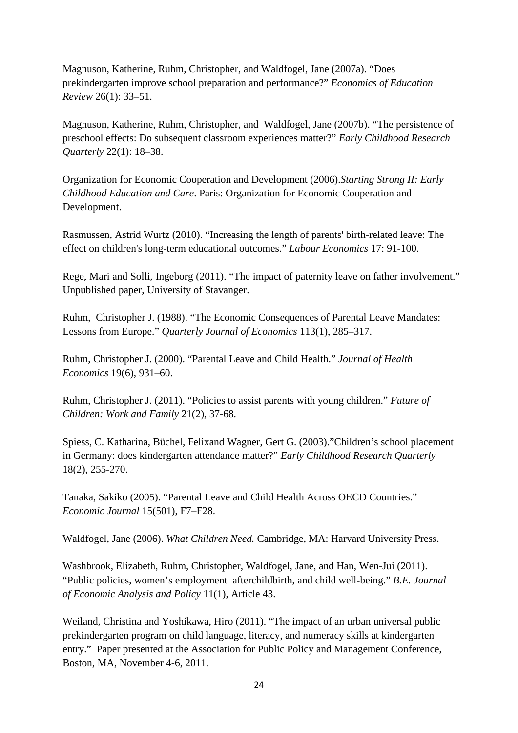Magnuson, Katherine, Ruhm, Christopher, and Waldfogel, Jane (2007a). "Does prekindergarten improve school preparation and performance?" *Economics of Education Review* 26(1): 33–51.

Magnuson, Katherine, Ruhm, Christopher, and Waldfogel, Jane (2007b). "The persistence of preschool effects: Do subsequent classroom experiences matter?" *Early Childhood Research Quarterly* 22(1): 18–38.

Organization for Economic Cooperation and Development (2006).*Starting Strong II: Early Childhood Education and Care*. Paris: Organization for Economic Cooperation and Development.

Rasmussen, Astrid Wurtz (2010). "Increasing the length of parents' birth-related leave: The effect on children's long-term educational outcomes." *Labour Economics* 17: 91-100.

Rege, Mari and Solli, Ingeborg (2011). "The impact of paternity leave on father involvement." Unpublished paper, University of Stavanger.

Ruhm, Christopher J. (1988). "The Economic Consequences of Parental Leave Mandates: Lessons from Europe." *Quarterly Journal of Economics* 113(1), 285–317.

Ruhm, Christopher J. (2000). "Parental Leave and Child Health." *Journal of Health Economics* 19(6), 931–60.

Ruhm, Christopher J. (2011). "Policies to assist parents with young children." *Future of Children: Work and Family* 21(2), 37-68.

Spiess, C. Katharina, Büchel, Felixand Wagner, Gert G. (2003)."Children's school placement in Germany: does kindergarten attendance matter?" *Early Childhood Research Quarterly* 18(2), 255-270.

Tanaka, Sakiko (2005). "Parental Leave and Child Health Across OECD Countries." *Economic Journal* 15(501), F7–F28.

Waldfogel, Jane (2006). *What Children Need.* Cambridge, MA: Harvard University Press.

Washbrook, Elizabeth, Ruhm, Christopher, Waldfogel, Jane, and Han, Wen-Jui (2011). "Public policies, women's employment afterchildbirth, and child well-being." *B.E. Journal of Economic Analysis and Policy* 11(1), Article 43.

Weiland, Christina and Yoshikawa, Hiro (2011). "The impact of an urban universal public prekindergarten program on child language, literacy, and numeracy skills at kindergarten entry." Paper presented at the Association for Public Policy and Management Conference, Boston, MA, November 4-6, 2011.